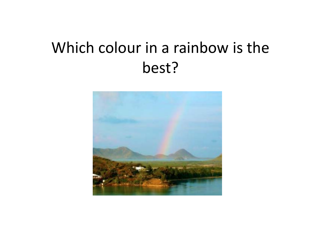# Which colour in <sup>a</sup> rainbow is the best?

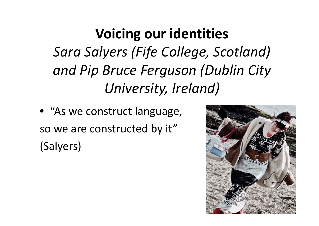**Voicing our identities** *Sara Salyers (Fife College, Scotland) and Pip Bruce Ferguson (Dublin City University, Ireland)*

• "As we construct language, so we are constructed by it" (Salyers)

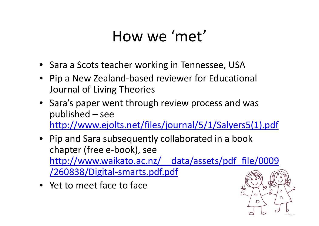## How we 'met'

- Sara <sup>a</sup> Scots teacher working in Tennessee, USA
- Pip <sup>a</sup> New Zealand‐based reviewer for Educational Journal of Living Theories
- Sara's paper went through review process and was published – see http://www.ejolts.net/files/journal/5/1/Salyers5(1).pdf
- Pip and Sara subsequently collaborated in <sup>a</sup> book chapter (free <sup>e</sup>‐book), see http://www.waikato.ac.nz/\_\_data/assets/pdf\_file/0009 /260838/Digital‐smarts.pdf.pdf
- Yet to meet face to face

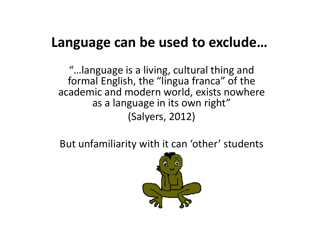### **Language can be used to exclude…**

"…language is <sup>a</sup> living, cultural thing and formal English, the "lingua franca" of the academic and modern world, exists nowhere as a language in its own right" (Salyers, 2012)

But unfamiliarity with it can 'other' students

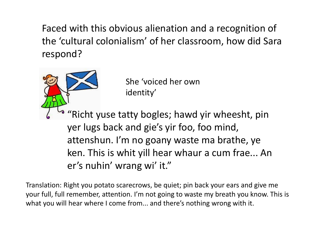Faced with this obvious alienation and <sup>a</sup> recognition of the 'cultural colonialism' of her classroom, how did Sara respond?

> She 'voiced her own identity'

"Richt yuse tatty bogles; hawd yir wheesht, pin yer lugs back and gie's yir foo, foo mind, attenshun. I'm no goany waste ma brathe, ye ken. This is whit yill hear whaur <sup>a</sup> cum frae... An er's nuhin' wrang wi' it."

Translation: Right you potato scarecrows, be quiet; pin back your ears and give me your full, full remember, attention. I'm not going to waste my breath you know. This is what you will hear where I come from... and there's nothing wrong with it.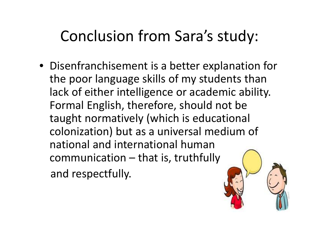# Conclusion from Sara's study:

• Disenfranchisement is a better explanation for the poor language skills of my students than lack of either intelligence or academic ability. Formal English, therefore, should not be taught normatively (which is educational colonization) but as <sup>a</sup> universal medium of national and international human communication – that is, truthfully and respectfully.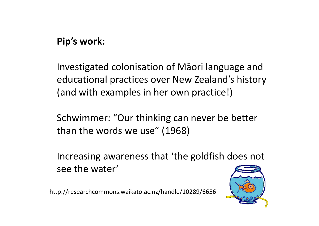#### **Pip's work:**

Investigated colonisation of Māori language and educational practices over New Zealand's history (and with examples in her own practice!)

Schwimmer: "Our thinking can never be better than the words we use" (1968)

Increasing awareness that 'the goldfish does not see the water'

http://researchcommons.waikato.ac.nz/handle/10289/6656

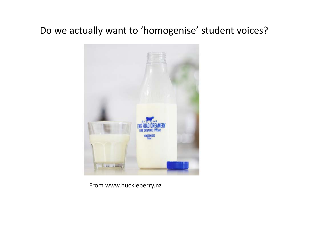#### Do we actually want to 'homogenise' student voices?



From www.huckleberry.nz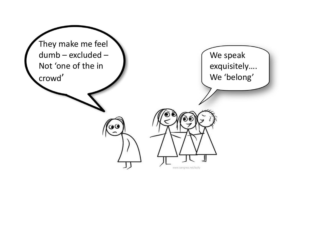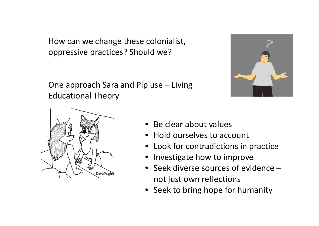How can we change these colonialist, oppressive practices? Should we?

One approach Sara and Pip use – Living Educational Theory





- Be clear about values
- Hold ourselves to account
- Look for contradictions in practice
- Investigate how to improve
- Seek diverse sources of evidence not just own reflections
- Seek to bring hope for humanity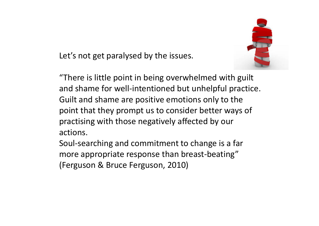Let's not get paralysed by the issues.

"There is little point in being overwhelmed with guilt and shame for well‐intentioned but unhelpful practice. Guilt and shame are positive emotions only to the point that they prompt us to consider better ways of practising with those negatively affected by our actions.

Soul‐searching and commitment to change is <sup>a</sup> far more appropriate response than breast‐beating" (Ferguson & Bruce Ferguson, 2010)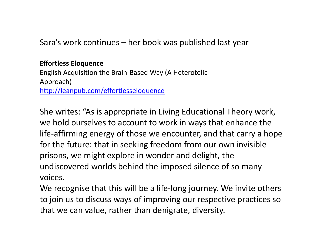Sara's work continues – her book was published last year

#### **Effortless Eloquence**

English Acquisition the Brain‐Based Way (A Heterotelic Approach) http://leanpub.com/effortlesseloquence

She writes: "As is appropriate in Living Educational Theory work, we hold ourselves to account to work in ways that enhance the life-affirming energy of those we encounter, and that carry a hope for the future: that in seeking freedom from our own invisible prisons, we might explore in wonder and delight, the undiscovered worlds behind the imposed silence of so many voices.

We recognise that this will be <sup>a</sup> life‐long journey. We invite others to join us to discuss ways of improving our respective practices so that we can value, rather than denigrate, diversity.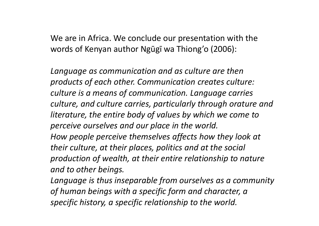We are in Africa. We conclude our presentation with the words of Kenyan author Ngūgī wa Thiong'o (2006):

*Language as communication and as culture are then products of each other. Communication creates culture: culture is a means of communication. Language carries culture, and culture carries, particularly through orature and literature, the entire body of values by which we come to perceive ourselves and our place in the world. How people perceive themselves affects how they look at their culture, at their places, politics and at the social production of wealth, at their entire relationship to nature and to other beings.*

*Language is thus inseparable from ourselves as <sup>a</sup> community of human beings with <sup>a</sup> specific form and character, <sup>a</sup> specific history, <sup>a</sup> specific relationship to the world.*